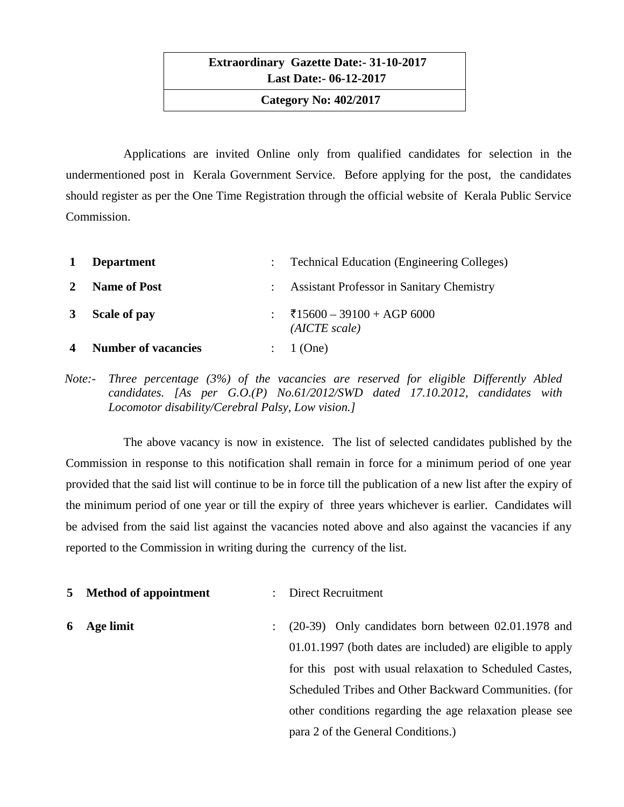**Extraordinary Gazette Date:- 31-10-2017 Last Date:- 06-12-2017**

 **Category No: 402/2017**

Applications are invited Online only from qualified candidates for selection in the undermentioned post in Kerala Government Service. Before applying for the post, the candidates should register as per the One Time Registration through the official website of Kerala Public Service Commission.

| 1                      | <b>Department</b>          | : Technical Education (Engineering Colleges)     |
|------------------------|----------------------------|--------------------------------------------------|
| 2                      | <b>Name of Post</b>        | <b>Assistant Professor in Sanitary Chemistry</b> |
| 3                      | <b>Scale of pay</b>        | ₹15600 - 39100 + AGP 6000<br>(AICTE scale)       |
| $\boldsymbol{\Lambda}$ | <b>Number of vacancies</b> | 1 (One)                                          |

*Note:- Three percentage (3%) of the vacancies are reserved for eligible Differently Abled candidates. [As per G.O.(P) No.61/2012/SWD dated 17.10.2012, candidates with Locomotor disability/Cerebral Palsy, Low vision.]*

The above vacancy is now in existence. The list of selected candidates published by the Commission in response to this notification shall remain in force for a minimum period of one year provided that the said list will continue to be in force till the publication of a new list after the expiry of the minimum period of one year or till the expiry of three years whichever is earlier. Candidates will be advised from the said list against the vacancies noted above and also against the vacancies if any reported to the Commission in writing during the currency of the list.

**5 Method of appointment** : Direct Recruitment

**6 Age limit** : (20-39) Only candidates born between 02.01.1978 and 01.01.1997 (both dates are included) are eligible to apply for this post with usual relaxation to Scheduled Castes, Scheduled Tribes and Other Backward Communities. (for other conditions regarding the age relaxation please see para 2 of the General Conditions.)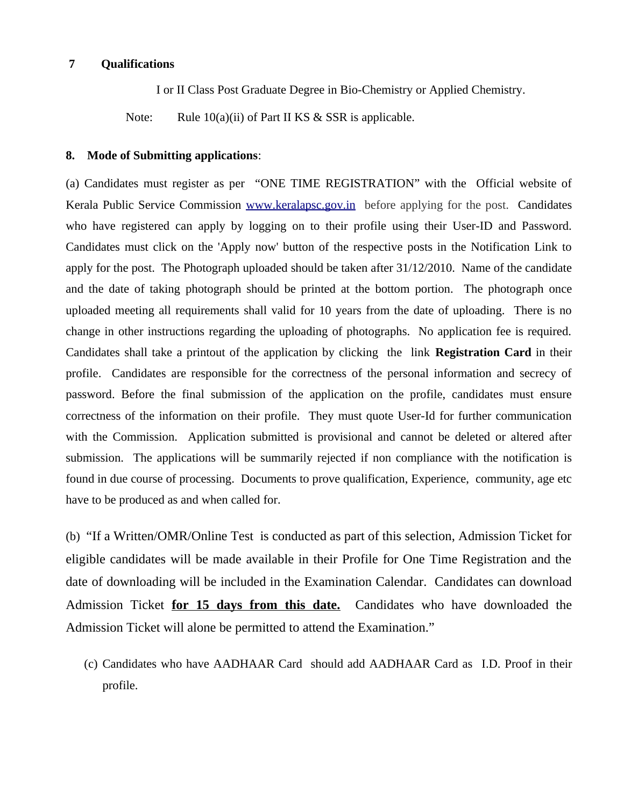### **7 Qualifications**

I or II Class Post Graduate Degree in Bio-Chemistry or Applied Chemistry.

Note: Rule 10(a)(ii) of Part II KS & SSR is applicable.

### **8. Mode of Submitting applications**:

(a) Candidates must register as per "ONE TIME REGISTRATION" with the Official website of Kerala Public Service Commission [www.keralapsc.gov.in](http://www.keralapsc.gov.in/)before applying for the post. Candidates who have registered can apply by logging on to their profile using their User-ID and Password. Candidates must click on the 'Apply now' button of the respective posts in the Notification Link to apply for the post. The Photograph uploaded should be taken after 31/12/2010. Name of the candidate and the date of taking photograph should be printed at the bottom portion. The photograph once uploaded meeting all requirements shall valid for 10 years from the date of uploading. There is no change in other instructions regarding the uploading of photographs. No application fee is required. Candidates shall take a printout of the application by clicking the link **Registration Card** in their profile. Candidates are responsible for the correctness of the personal information and secrecy of password. Before the final submission of the application on the profile, candidates must ensure correctness of the information on their profile. They must quote User-Id for further communication with the Commission. Application submitted is provisional and cannot be deleted or altered after submission. The applications will be summarily rejected if non compliance with the notification is found in due course of processing. Documents to prove qualification, Experience, community, age etc have to be produced as and when called for.

(b) "If a Written/OMR/Online Test is conducted as part of this selection, Admission Ticket for eligible candidates will be made available in their Profile for One Time Registration and the date of downloading will be included in the Examination Calendar. Candidates can download Admission Ticket **for 15 days from this date.** Candidates who have downloaded the Admission Ticket will alone be permitted to attend the Examination."

(c) Candidates who have AADHAAR Card should add AADHAAR Card as I.D. Proof in their profile.